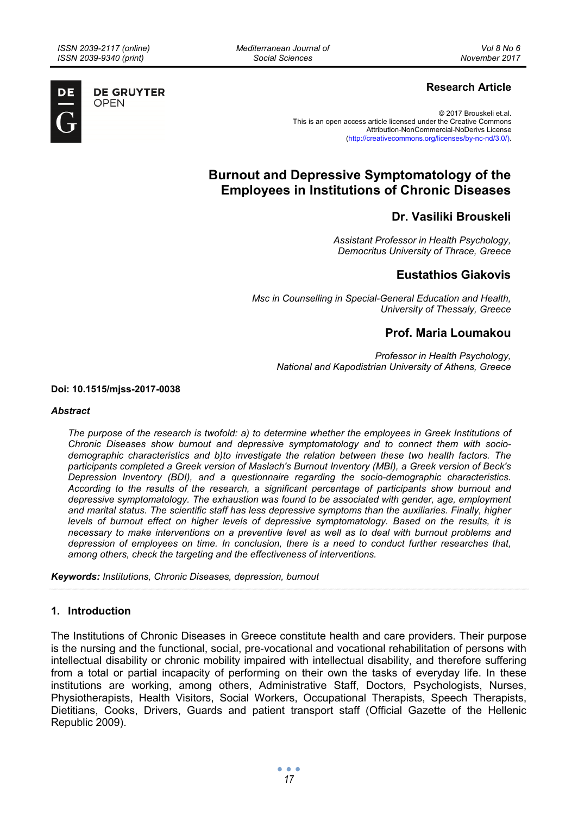*Mediterranean Journal of Social Sciences* 



**DE GRUYTER OPEN** 

# **Research Article**

© 2017 Brouskeli et.al. This is an open access article licensed under the Creative Commons Attribution-NonCommercial-NoDerivs License (http://creativecommons.org/licenses/by-nc-nd/3.0/).

# **Burnout and Depressive Symptomatology of the Employees in Institutions of Chronic Diseases**

# **Dr. Vasiliki Brouskeli**

*Assistant Professor in Health Psychology, Democritus University of Thrace, Greece* 

# **Eustathios Giakovis**

*Msc in Counselling in Special-General Education and Health, University of Thessaly, Greece* 

# **Prof. Maria Loumakou**

*Professor in Health Psychology, National and Kapodistrian University of Athens, Greece* 

**Doi: 10.1515/mjss-2017-0038** 

#### *Abstract*

*The purpose of the research is twofold: a) to determine whether the employees in Greek Institutions of Chronic Diseases show burnout and depressive symptomatology and to connect them with sociodemographic characteristics and b)to investigate the relation between these two health factors. The participants completed a Greek version of Maslach's Burnout Inventory (MBI), a Greek version of Beck's Depression Inventory (BDI), and a questionnaire regarding the socio-demographic characteristics. According to the results of the research, a significant percentage of participants show burnout and depressive symptomatology. The exhaustion was found to be associated with gender, age, employment and marital status. The scientific staff has less depressive symptoms than the auxiliaries. Finally, higher levels of burnout effect on higher levels of depressive symptomatology. Based on the results, it is necessary to make interventions on a preventive level as well as to deal with burnout problems and depression of employees on time. In conclusion, there is a need to conduct further researches that, among others, check the targeting and the effectiveness of interventions.* 

*Keywords: Institutions, Chronic Diseases, depression, burnout* 

# **1. Introduction**

The Institutions of Chronic Diseases in Greece constitute health and care providers. Their purpose is the nursing and the functional, social, pre-vocational and vocational rehabilitation of persons with intellectual disability or chronic mobility impaired with intellectual disability, and therefore suffering from a total or partial incapacity of performing on their own the tasks of everyday life. In these institutions are working, among others, Administrative Staff, Doctors, Psychologists, Nurses, Physiotherapists, Health Visitors, Social Workers, Occupational Therapists, Speech Therapists, Dietitians, Cooks, Drivers, Guards and patient transport staff (Official Gazette of the Hellenic Republic 2009).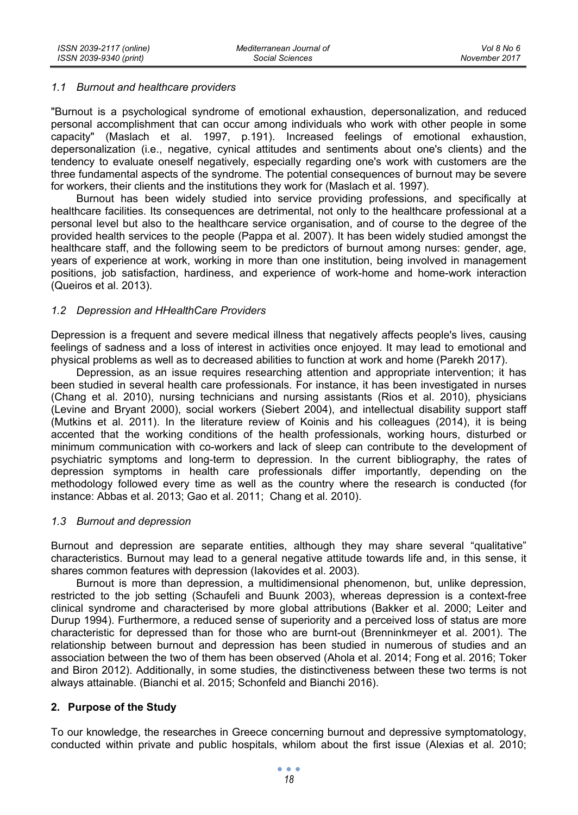# *1.1 Burnout and healthcare providers*

"Burnout is a psychological syndrome of emotional exhaustion, depersonalization, and reduced personal accomplishment that can occur among individuals who work with other people in some capacity" (Maslach et al. 1997, p.191). Increased feelings of emotional exhaustion, depersonalization (i.e., negative, cynical attitudes and sentiments about one's clients) and the tendency to evaluate oneself negatively, especially regarding one's work with customers are the three fundamental aspects of the syndrome. The potential consequences of burnout may be severe for workers, their clients and the institutions they work for (Maslach et al. 1997).

Burnout has been widely studied into service providing professions, and specifically at healthcare facilities. Its consequences are detrimental, not only to the healthcare professional at a personal level but also to the healthcare service organisation, and of course to the degree of the provided health services to the people (Pappa et al. 2007). It has been widely studied amongst the healthcare staff, and the following seem to be predictors of burnout among nurses: gender, age, years of experience at work, working in more than one institution, being involved in management positions, job satisfaction, hardiness, and experience of work-home and home-work interaction (Queiros et al. 2013).

#### *1.2 Depression and HHealthCare Providers*

Depression is a frequent and severe medical illness that negatively affects people's lives, causing feelings of sadness and a loss of interest in activities once enjoyed. It may lead to emotional and physical problems as well as to decreased abilities to function at work and home (Parekh 2017).

Depression, as an issue requires researching attention and appropriate intervention; it has been studied in several health care professionals. For instance, it has been investigated in nurses (Chang et al. 2010), nursing technicians and nursing assistants (Rios et al. 2010), physicians (Levine and Bryant 2000), social workers (Siebert 2004), and intellectual disability support staff (Mutkins et al. 2011). In the literature review of Koinis and his colleagues (2014), it is being accented that the working conditions of the health professionals, working hours, disturbed or minimum communication with co-workers and lack of sleep can contribute to the development of psychiatric symptoms and long-term to depression. In the current bibliography, the rates of depression symptoms in health care professionals differ importantly, depending on the methodology followed every time as well as the country where the research is conducted (for instance: Abbas et al. 2013; Gao et al. 2011; Chang et al. 2010).

#### *1.3 Burnout and depression*

Burnout and depression are separate entities, although they may share several "qualitative" characteristics. Burnout may lead to a general negative attitude towards life and, in this sense, it shares common features with depression (Iakovides et al. 2003).

Burnout is more than depression, a multidimensional phenomenon, but, unlike depression, restricted to the job setting (Schaufeli and Buunk 2003), whereas depression is a context-free clinical syndrome and characterised by more global attributions (Bakker et al. 2000; Leiter and Durup 1994). Furthermore, a reduced sense of superiority and a perceived loss of status are more characteristic for depressed than for those who are burnt-out (Brenninkmeyer et al. 2001). The relationship between burnout and depression has been studied in numerous of studies and an association between the two of them has been observed (Ahola et al. 2014; Fong et al. 2016; Toker and Biron 2012). Additionally, in some studies, the distinctiveness between these two terms is not always attainable. (Bianchi et al. 2015; Schonfeld and Bianchi 2016).

# **2. Purpose of the Study**

To our knowledge, the researches in Greece concerning burnout and depressive symptomatology, conducted within private and public hospitals, whilom about the first issue (Alexias et al. 2010;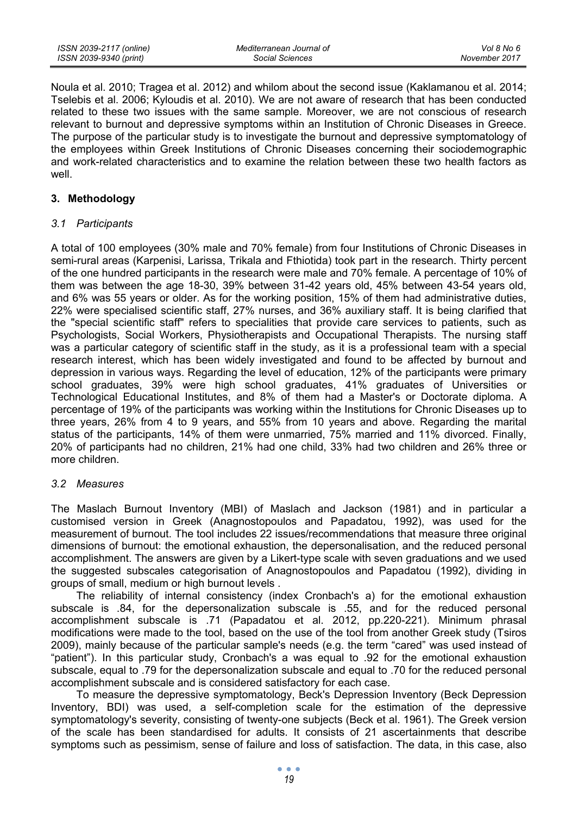Noula et al. 2010; Tragea et al. 2012) and whilom about the second issue (Kaklamanou et al. 2014; Tselebis et al. 2006; Kyloudis et al. 2010). We are not aware of research that has been conducted related to these two issues with the same sample. Moreover, we are not conscious of research relevant to burnout and depressive symptoms within an Institution of Chronic Diseases in Greece. The purpose of the particular study is to investigate the burnout and depressive symptomatology of the employees within Greek Institutions of Chronic Diseases concerning their sociodemographic and work-related characteristics and to examine the relation between these two health factors as well.

# **3. Methodology**

#### *3.1 Participants*

A total of 100 employees (30% male and 70% female) from four Institutions of Chronic Diseases in semi-rural areas (Karpenisi, Larissa, Trikala and Fthiotida) took part in the research. Thirty percent of the one hundred participants in the research were male and 70% female. A percentage of 10% of them was between the age 18-30, 39% between 31-42 years old, 45% between 43-54 years old, and 6% was 55 years or older. As for the working position, 15% of them had administrative duties, 22% were specialised scientific staff, 27% nurses, and 36% auxiliary staff. It is being clarified that the "special scientific staff" refers to specialities that provide care services to patients, such as Psychologists, Social Workers, Physiotherapists and Occupational Therapists. The nursing staff was a particular category of scientific staff in the study, as it is a professional team with a special research interest, which has been widely investigated and found to be affected by burnout and depression in various ways. Regarding the level of education, 12% of the participants were primary school graduates, 39% were high school graduates, 41% graduates of Universities or Technological Educational Institutes, and 8% of them had a Master's or Doctorate diploma. A percentage of 19% of the participants was working within the Institutions for Chronic Diseases up to three years, 26% from 4 to 9 years, and 55% from 10 years and above. Regarding the marital status of the participants, 14% of them were unmarried, 75% married and 11% divorced. Finally, 20% of participants had no children, 21% had one child, 33% had two children and 26% three or more children.

# *3.2 Measures*

The Maslach Burnout Inventory (MBI) of Maslach and Jackson (1981) and in particular a customised version in Greek (Anagnostopoulos and Papadatou, 1992), was used for the measurement of burnout. The tool includes 22 issues/recommendations that measure three original dimensions of burnout: the emotional exhaustion, the depersonalisation, and the reduced personal accomplishment. The answers are given by a Likert-type scale with seven graduations and we used the suggested subscales categorisation of Anagnostopoulos and Papadatou (1992), dividing in groups of small, medium or high burnout levels .

The reliability of internal consistency (index Cronbach's a) for the emotional exhaustion subscale is .84, for the depersonalization subscale is .55, and for the reduced personal accomplishment subscale is .71 (Papadatou et al. 2012, pp.220-221). Minimum phrasal modifications were made to the tool, based on the use of the tool from another Greek study (Tsiros 2009), mainly because of the particular sample's needs (e.g. the term "cared" was used instead of "patient"). In this particular study, Cronbach's a was equal to .92 for the emotional exhaustion subscale, equal to .79 for the depersonalization subscale and equal to .70 for the reduced personal accomplishment subscale and is considered satisfactory for each case.

To measure the depressive symptomatology, Beck's Depression Inventory (Beck Depression Inventory, BDI) was used, a self-completion scale for the estimation of the depressive symptomatology's severity, consisting of twenty-one subjects (Beck et al. 1961). The Greek version of the scale has been standardised for adults. It consists of 21 ascertainments that describe symptoms such as pessimism, sense of failure and loss of satisfaction. The data, in this case, also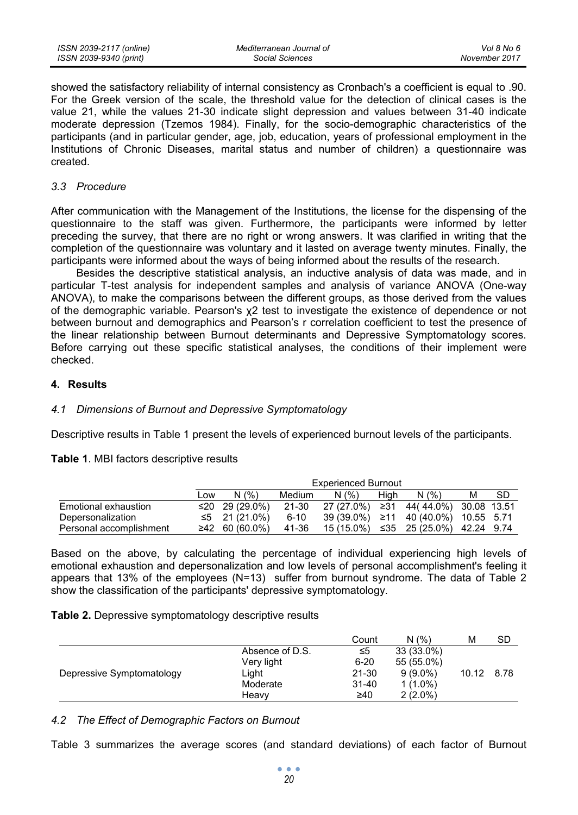showed the satisfactory reliability of internal consistency as Cronbach's a coefficient is equal to .90. For the Greek version of the scale, the threshold value for the detection of clinical cases is the value 21, while the values 21-30 indicate slight depression and values between 31-40 indicate moderate depression (Tzemos 1984). Finally, for the socio-demographic characteristics of the participants (and in particular gender, age, job, education, years of professional employment in the Institutions of Chronic Diseases, marital status and number of children) a questionnaire was created.

#### *3.3 Procedure*

After communication with the Management of the Institutions, the license for the dispensing of the questionnaire to the staff was given. Furthermore, the participants were informed by letter preceding the survey, that there are no right or wrong answers. It was clarified in writing that the completion of the questionnaire was voluntary and it lasted on average twenty minutes. Finally, the participants were informed about the ways of being informed about the results of the research.

Besides the descriptive statistical analysis, an inductive analysis of data was made, and in particular T-test analysis for independent samples and analysis of variance ANOVA (One-way ANOVA), to make the comparisons between the different groups, as those derived from the values of the demographic variable. Pearson's χ2 test to investigate the existence of dependence or not between burnout and demographics and Pearson's r correlation coefficient to test the presence of the linear relationship between Burnout determinants and Depressive Symptomatology scores. Before carrying out these specific statistical analyses, the conditions of their implement were checked.

# **4. Results**

# *4.1 Dimensions of Burnout and Depressive Symptomatology*

Descriptive results in Table 1 present the levels of experienced burnout levels of the participants.

#### **Table 1**. MBI factors descriptive results

|                         |     | <b>Experienced Burnout</b> |        |                                      |      |       |   |           |
|-------------------------|-----|----------------------------|--------|--------------------------------------|------|-------|---|-----------|
|                         | Low | N(%)                       | Medium | N(% )                                | Hiah | N(% ) | м | <b>SD</b> |
| Emotional exhaustion    |     | ≤20 29 (29.0%)             | 21-30  | 27 (27.0%) ≥31 44(44.0%) 30.08 13.51 |      |       |   |           |
| Depersonalization       |     | ≤5 21 (21.0%)              | 6-10   | 39 (39.0%) ≥11 40 (40.0%) 10.55 5.71 |      |       |   |           |
| Personal accomplishment |     | ≥42 60 (60.0%)             | 41-36  | 15 (15.0%) ≤35 25 (25.0%) 42.24 9.74 |      |       |   |           |

Based on the above, by calculating the percentage of individual experiencing high levels of emotional exhaustion and depersonalization and low levels of personal accomplishment's feeling it appears that 13% of the employees (N=13) suffer from burnout syndrome. The data of Table 2 show the classification of the participants' depressive symptomatology.

**Table 2.** Depressive symptomatology descriptive results

|                           |                 | Count     | N(%)       | м     | SD   |
|---------------------------|-----------------|-----------|------------|-------|------|
|                           | Absence of D.S. | ≤5        | 33 (33.0%) |       |      |
|                           | Very light      | $6 - 20$  | 55 (55.0%) |       |      |
| Depressive Symptomatology | Light           | $21 - 30$ | $9(9.0\%)$ | 10.12 | 8.78 |
|                           | Moderate        | $31 - 40$ | $1(1.0\%)$ |       |      |
|                           | Heavv           | ≥40       | $2(2.0\%)$ |       |      |
|                           |                 |           |            |       |      |

*4.2 The Effect of Demographic Factors on Burnout* 

Table 3 summarizes the average scores (and standard deviations) of each factor of Burnout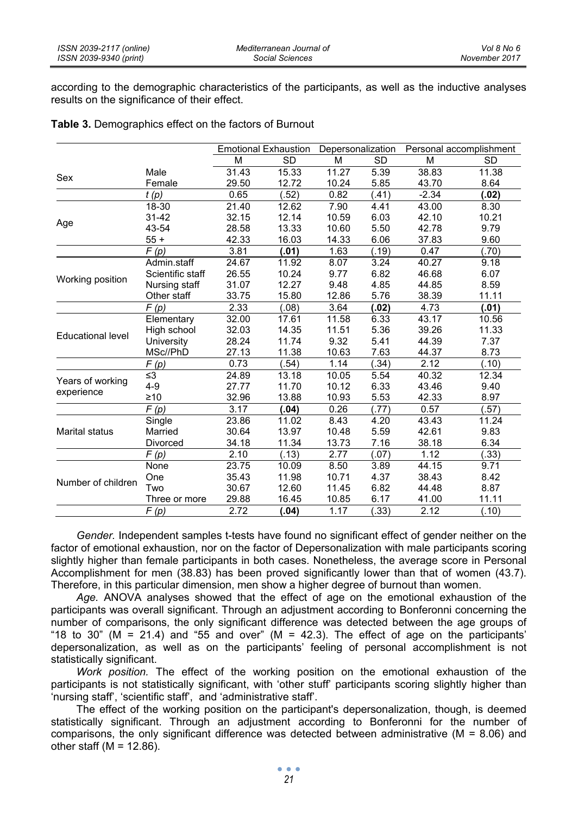according to the demographic characteristics of the participants, as well as the inductive analyses results on the significance of their effect.

|                          |                   |       | <b>Emotional Exhaustion</b> | Depersonalization |           |         | Personal accomplishment |
|--------------------------|-------------------|-------|-----------------------------|-------------------|-----------|---------|-------------------------|
|                          |                   | M     | <b>SD</b>                   | M                 | <b>SD</b> | M       | <b>SD</b>               |
| Sex                      | Male              | 31.43 | 15.33                       | 11.27             | 5.39      | 38.83   | 11.38                   |
|                          | Female            | 29.50 | 12.72                       | 10.24             | 5.85      | 43.70   | 8.64                    |
|                          | t(p)              | 0.65  | (52)                        | 0.82              | (.41)     | $-2.34$ | (.02)                   |
|                          | 18-30             | 21.40 | 12.62                       | 7.90              | 4.41      | 43.00   | 8.30                    |
| Age                      | $31 - 42$         | 32.15 | 12.14                       | 10.59             | 6.03      | 42.10   | 10.21                   |
|                          | 43-54             | 28.58 | 13.33                       | 10.60             | 5.50      | 42.78   | 9.79                    |
|                          | $55+$             | 42.33 | 16.03                       | 14.33             | 6.06      | 37.83   | 9.60                    |
|                          | F(p)              | 3.81  | (.01)                       | 1.63              | (.19)     | 0.47    | (.70)                   |
|                          | Admin.staff       | 24.67 | 11.92                       | 8.07              | 3.24      | 40.27   | 9.18                    |
| Working position         | Scientific staff  | 26.55 | 10.24                       | 9.77              | 6.82      | 46.68   | 6.07                    |
|                          | Nursing staff     | 31.07 | 12.27                       | 9.48              | 4.85      | 44.85   | 8.59                    |
|                          | Other staff       | 33.75 | 15.80                       | 12.86             | 5.76      | 38.39   | 11.11                   |
|                          | $\overline{F}(p)$ | 2.33  | (.08)                       | 3.64              | (.02)     | 4.73    | (.01)                   |
|                          | Elementary        | 32.00 | 17.61                       | 11.58             | 6.33      | 43.17   | 10.56                   |
| <b>Educational level</b> | High school       | 32.03 | 14.35                       | 11.51             | 5.36      | 39.26   | 11.33                   |
|                          | University        | 28.24 | 11.74                       | 9.32              | 5.41      | 44.39   | 7.37                    |
|                          | MSc//PhD          | 27.13 | 11.38                       | 10.63             | 7.63      | 44.37   | 8.73                    |
|                          | F(p)              | 0.73  | .54)                        | 1.14              | (.34)     | 2.12    | (.10)                   |
| Years of working         | $\leq$ 3          | 24.89 | 13.18                       | 10.05             | 5.54      | 40.32   | 12.34                   |
| experience               | $4 - 9$           | 27.77 | 11.70                       | 10.12             | 6.33      | 43.46   | 9.40                    |
|                          | $\geq 10$         | 32.96 | 13.88                       | 10.93             | 5.53      | 42.33   | 8.97                    |
|                          | F(p)              | 3.17  | (.04)                       | 0.26              | (.77)     | 0.57    | (.57)                   |
|                          | Single            | 23.86 | 11.02                       | 8.43              | 4.20      | 43.43   | 11.24                   |
| Marital status           | Married           | 30.64 | 13.97                       | 10.48             | 5.59      | 42.61   | 9.83                    |
|                          | Divorced          | 34.18 | 11.34                       | 13.73             | 7.16      | 38.18   | 6.34                    |
|                          | F(p)              | 2.10  | (.13)                       | 2.77              | (.07)     | 1.12    | (.33)                   |
|                          | None              | 23.75 | 10.09                       | 8.50              | 3.89      | 44.15   | 9.71                    |
| Number of children       | One               | 35.43 | 11.98                       | 10.71             | 4.37      | 38.43   | 8.42                    |
|                          | Two               | 30.67 | 12.60                       | 11.45             | 6.82      | 44.48   | 8.87                    |
|                          | Three or more     | 29.88 | 16.45                       | 10.85             | 6.17      | 41.00   | 11.11                   |
|                          | F(p)              | 2.72  | (.04)                       | 1.17              | (.33)     | 2.12    | (.10)                   |

**Table 3.** Demographics effect on the factors of Burnout

*Gender.* Independent samples t-tests have found no significant effect of gender neither on the factor of emotional exhaustion, nor on the factor of Depersonalization with male participants scoring slightly higher than female participants in both cases. Nonetheless, the average score in Personal Accomplishment for men (38.83) has been proved significantly lower than that of women (43.7). Therefore, in this particular dimension, men show a higher degree of burnout than women.

*Age.* ANOVA analyses showed that the effect of age on the emotional exhaustion of the participants was overall significant. Through an adjustment according to Bonferonni concerning the number of comparisons, the only significant difference was detected between the age groups of "18 to 30" (M = 21.4) and "55 and over" (M = 42.3). The effect of age on the participants' depersonalization, as well as on the participants' feeling of personal accomplishment is not statistically significant.

*Work position.* The effect of the working position on the emotional exhaustion of the participants is not statistically significant, with 'other stuff' participants scoring slightly higher than 'nursing staff', 'scientific staff', and 'administrative staff'.

The effect of the working position on the participant's depersonalization, though, is deemed statistically significant. Through an adjustment according to Bonferonni for the number of comparisons, the only significant difference was detected between administrative ( $M = 8.06$ ) and other staff  $(M = 12.86)$ .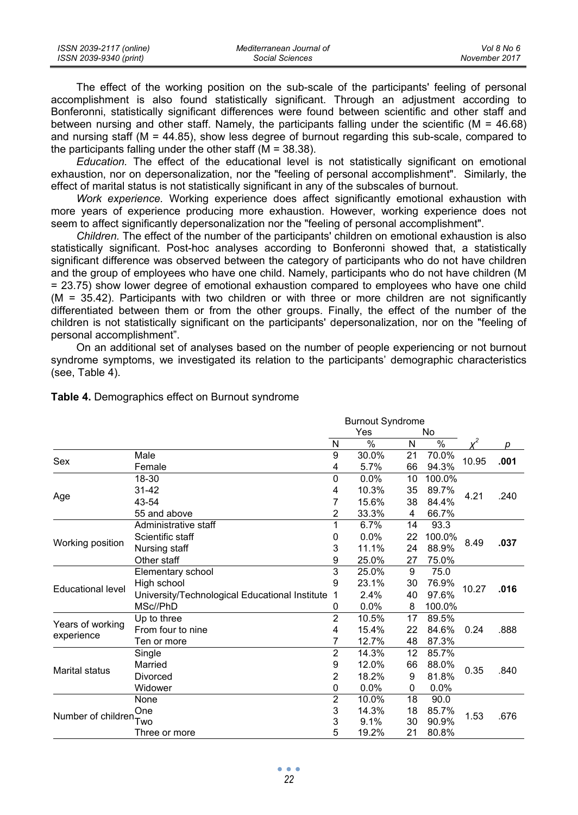| ISSN 2039-2117 (online) | Mediterranean Journal of | Vol 8 No 6    |
|-------------------------|--------------------------|---------------|
| ISSN 2039-9340 (print)  | Social Sciences          | November 2017 |

The effect of the working position on the sub-scale of the participants' feeling of personal accomplishment is also found statistically significant. Through an adjustment according to Bonferonni, statistically significant differences were found between scientific and other staff and between nursing and other staff. Namely, the participants falling under the scientific (M = 46.68) and nursing staff (M = 44.85), show less degree of burnout regarding this sub-scale, compared to the participants falling under the other staff  $(M = 38.38)$ .

*Education.* The effect of the educational level is not statistically significant on emotional exhaustion, nor on depersonalization, nor the "feeling of personal accomplishment". Similarly, the effect of marital status is not statistically significant in any of the subscales of burnout.

*Work experience.* Working experience does affect significantly emotional exhaustion with more years of experience producing more exhaustion. However, working experience does not seem to affect significantly depersonalization nor the "feeling of personal accomplishment".

*Children.* The effect of the number of the participants' children on emotional exhaustion is also statistically significant. Post-hoc analyses according to Bonferonni showed that, a statistically significant difference was observed between the category of participants who do not have children and the group of employees who have one child. Namely, participants who do not have children (M = 23.75) show lower degree of emotional exhaustion compared to employees who have one child (M = 35.42). Participants with two children or with three or more children are not significantly differentiated between them or from the other groups. Finally, the effect of the number of the children is not statistically significant on the participants' depersonalization, nor on the "feeling of personal accomplishment".

On an additional set of analyses based on the number of people experiencing or not burnout syndrome symptoms, we investigated its relation to the participants' demographic characteristics (see, Table 4).

|                                |                                                  |                | <b>Burnout Syndrome</b> |    |        |       |      |
|--------------------------------|--------------------------------------------------|----------------|-------------------------|----|--------|-------|------|
|                                |                                                  |                | Yes                     |    | No     |       |      |
|                                |                                                  | N              | $\%$                    | N  | $\%$   |       | р    |
| Sex                            | Male                                             | 9              | 30.0%                   | 21 | 70.0%  | 10.95 | .001 |
|                                | Female                                           | 4              | 5.7%                    | 66 | 94.3%  |       |      |
|                                | 18-30                                            | 0              | 0.0%                    | 10 | 100.0% |       |      |
|                                | 31-42                                            | 4              | 10.3%                   | 35 | 89.7%  | 4.21  | .240 |
| Age                            | 43-54                                            | 7              | 15.6%                   | 38 | 84.4%  |       |      |
|                                | 55 and above                                     | 2              | 33.3%                   | 4  | 66.7%  |       |      |
|                                | Administrative staff                             | 1              | 6.7%                    | 14 | 93.3   |       |      |
|                                | Scientific staff                                 | 0              | 0.0%                    | 22 | 100.0% | 8.49  | .037 |
| Working position               | Nursing staff                                    | 3              | 11.1%                   | 24 | 88.9%  |       |      |
|                                | Other staff                                      | 9              | 25.0%                   | 27 | 75.0%  |       |      |
|                                | Elementary school                                | 3              | 25.0%                   | 9  | 75.0   |       |      |
| <b>Educational level</b>       | High school                                      | 9              | 23.1%                   | 30 | 76.9%  | 10.27 | .016 |
|                                | University/Technological Educational Institute 1 |                | 2.4%                    | 40 | 97.6%  |       |      |
|                                | MSc//PhD                                         | 0              | 0.0%                    | 8  | 100.0% |       |      |
|                                | Up to three                                      | $\overline{2}$ | 10.5%                   | 17 | 89.5%  |       |      |
| Years of working<br>experience | From four to nine                                | 4              | 15.4%                   | 22 | 84.6%  | 0.24  | .888 |
|                                | Ten or more                                      | 7              | 12.7%                   | 48 | 87.3%  |       |      |
|                                | Single                                           | $\overline{2}$ | 14.3%                   | 12 | 85.7%  |       |      |
| Marital status                 | Married                                          | 9              | 12.0%                   | 66 | 88.0%  | 0.35  | .840 |
|                                | Divorced                                         | 2              | 18.2%                   | 9  | 81.8%  |       |      |
|                                | Widower                                          | 0              | 0.0%                    | 0  | 0.0%   |       |      |
|                                | None                                             | $\overline{2}$ | 10.0%                   | 18 | 90.0   |       |      |
|                                | One                                              | 3              | 14.3%                   | 18 | 85.7%  | 1.53  | .676 |
| Number of children             |                                                  | 3              | 9.1%                    | 30 | 90.9%  |       |      |
|                                | Three or more                                    | 5              | 19.2%                   | 21 | 80.8%  |       |      |

# **Table 4.** Demographics effect on Burnout syndrome

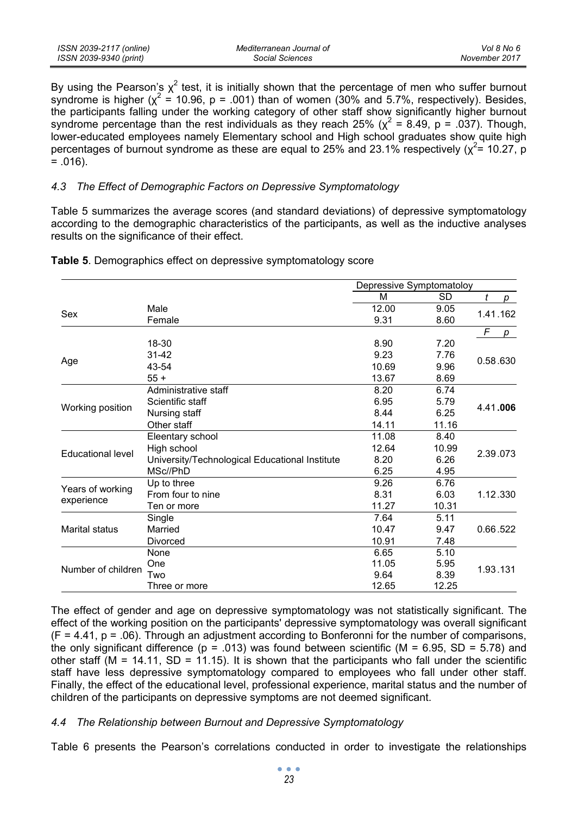| ISSN 2039-2117 (online) | Mediterranean Journal of | Vol 8 No 6    |
|-------------------------|--------------------------|---------------|
| ISSN 2039-9340 (print)  | Social Sciences          | November 2017 |

By using the Pearson's  $\chi^2$  test, it is initially shown that the percentage of men who suffer burnout syndrome is higher ( $\chi^2$  = 10.96, p = .001) than of women (30% and 5.7%, respectively). Besides, the participants falling under the working category of other staff show significantly higher burnout syndrome percentage than the rest individuals as they reach 25% ( $\chi^2$  = 8.49, p = .037). Though, lower-educated employees namely Elementary school and High school graduates show quite high percentages of burnout syndrome as these are equal to 25% and 23.1% respectively ( $\chi^2$ = 10.27, p  $= .016$ ).

#### *4.3 The Effect of Demographic Factors on Depressive Symptomatology*

Table 5 summarizes the average scores (and standard deviations) of depressive symptomatology according to the demographic characteristics of the participants, as well as the inductive analyses results on the significance of their effect.

|                          |                                                | Depressive Symptomatoloy |           |          |  |
|--------------------------|------------------------------------------------|--------------------------|-----------|----------|--|
|                          |                                                | М                        | <b>SD</b> | t<br>р   |  |
| Sex                      | Male                                           | 12.00                    | 9.05      | 1.41.162 |  |
|                          | Female                                         | 9.31                     | 8.60      |          |  |
|                          |                                                |                          |           | F<br>p   |  |
|                          | 18-30                                          | 8.90                     | 7.20      |          |  |
| Age                      | $31 - 42$                                      | 9.23                     | 7.76      |          |  |
|                          | 43-54                                          | 10.69                    | 9.96      | 0.58.630 |  |
|                          | $55+$                                          | 13.67                    | 8.69      |          |  |
|                          | Administrative staff                           | 8.20                     | 6.74      |          |  |
| Working position         | Scientific staff                               | 6.95                     | 5.79      | 4.41.006 |  |
|                          | Nursing staff                                  | 8.44                     | 6.25      |          |  |
|                          | Other staff                                    | 14.11                    | 11.16     |          |  |
|                          | Eleentary school                               | 11.08                    | 8.40      |          |  |
| <b>Educational level</b> | High school                                    | 12.64                    | 10.99     | 2.39.073 |  |
|                          | University/Technological Educational Institute | 8.20                     | 6.26      |          |  |
|                          | MSc//PhD                                       | 6.25                     | 4.95      |          |  |
|                          | Up to three                                    | 9.26                     | 6.76      |          |  |
| Years of working         | From four to nine                              | 8.31                     | 6.03      | 1.12.330 |  |
| experience               | Ten or more                                    | 11.27                    | 10.31     |          |  |
|                          | Single                                         | 7.64                     | 5.11      |          |  |
| <b>Marital status</b>    | Married                                        | 10.47                    | 9.47      | 0.66.522 |  |
|                          | Divorced                                       | 10.91                    | 7.48      |          |  |
|                          | None                                           | 6.65                     | 5.10      |          |  |
| Number of children       | One                                            | 11.05                    | 5.95      | 1.93.131 |  |
|                          | Two                                            | 9.64                     | 8.39      |          |  |
|                          | Three or more                                  | 12.65                    | 12.25     |          |  |

**Table 5**. Demographics effect on depressive symptomatology score

The effect of gender and age on depressive symptomatology was not statistically significant. The effect of the working position on the participants' depressive symptomatology was overall significant  $(F = 4.41, p = .06)$ . Through an adjustment according to Bonferonni for the number of comparisons, the only significant difference ( $p = .013$ ) was found between scientific ( $M = 6.95$ , SD = 5.78) and other staff ( $M = 14.11$ , SD = 11.15). It is shown that the participants who fall under the scientific staff have less depressive symptomatology compared to employees who fall under other staff. Finally, the effect of the educational level, professional experience, marital status and the number of children of the participants on depressive symptoms are not deemed significant.

# *4.4 The Relationship between Burnout and Depressive Symptomatology*

Table 6 presents the Pearson's correlations conducted in order to investigate the relationships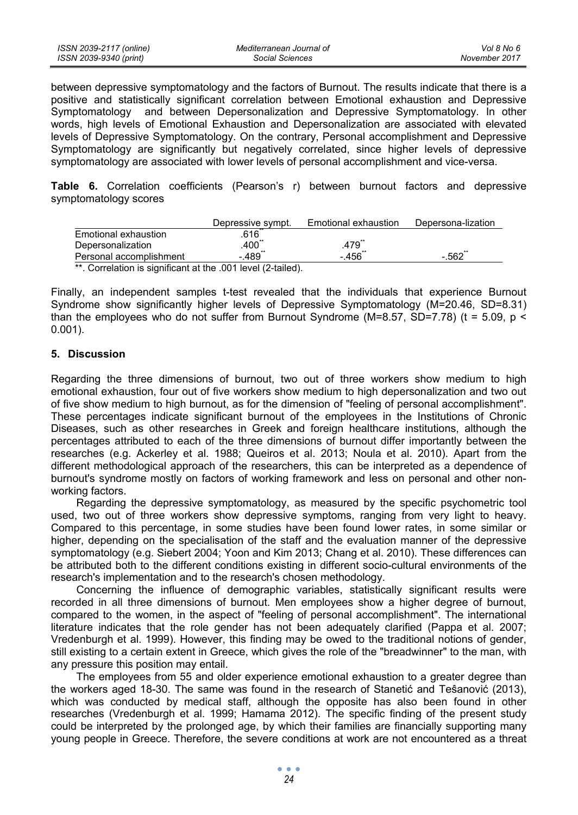| ISSN 2039-2117 (online) | Mediterranean Journal of | Vol 8 No 6    |
|-------------------------|--------------------------|---------------|
| ISSN 2039-9340 (print)  | Social Sciences          | November 2017 |

between depressive symptomatology and the factors of Burnout. The results indicate that there is a positive and statistically significant correlation between Emotional exhaustion and Depressive Symptomatology and between Depersonalization and Depressive Symptomatology. In other words, high levels of Emotional Exhaustion and Depersonalization are associated with elevated levels of Depressive Symptomatology. On the contrary, Personal accomplishment and Depressive Symptomatology are significantly but negatively correlated, since higher levels of depressive symptomatology are associated with lower levels of personal accomplishment and vice-versa.

**Table 6.** Correlation coefficients (Pearson's r) between burnout factors and depressive symptomatology scores

|                                                           | Depressive sympt.    | Emotional exhaustion | Depersona-lization |
|-----------------------------------------------------------|----------------------|----------------------|--------------------|
| Emotional exhaustion                                      | 616                  |                      |                    |
| Depersonalization                                         | $.400$ <sup>**</sup> | .479                 |                    |
| Personal accomplishment                                   | $-489"$              | - 456΅               | $-562$             |
| ** Correlation is significant at the 001 level (2-tailed) |                      |                      |                    |

) incant at the .001 level

Finally, an independent samples t-test revealed that the individuals that experience Burnout Syndrome show significantly higher levels of Depressive Symptomatology (M=20.46, SD=8.31) than the employees who do not suffer from Burnout Syndrome ( $M=8.57$ ,  $SD=7.78$ ) (t = 5.09, p < 0.001).

#### **5. Discussion**

Regarding the three dimensions of burnout, two out of three workers show medium to high emotional exhaustion, four out of five workers show medium to high depersonalization and two out of five show medium to high burnout, as for the dimension of "feeling of personal accomplishment". These percentages indicate significant burnout of the employees in the Institutions of Chronic Diseases, such as other researches in Greek and foreign healthcare institutions, although the percentages attributed to each of the three dimensions of burnout differ importantly between the researches (e.g. Ackerley et al. 1988; Queiros et al. 2013; Noula et al. 2010). Apart from the different methodological approach of the researchers, this can be interpreted as a dependence of burnout's syndrome mostly on factors of working framework and less on personal and other nonworking factors.

Regarding the depressive symptomatology, as measured by the specific psychometric tool used, two out of three workers show depressive symptoms, ranging from very light to heavy. Compared to this percentage, in some studies have been found lower rates, in some similar or higher, depending on the specialisation of the staff and the evaluation manner of the depressive symptomatology (e.g. Siebert 2004; Yoon and Kim 2013; Chang et al. 2010). These differences can be attributed both to the different conditions existing in different socio-cultural environments of the research's implementation and to the research's chosen methodology.

Concerning the influence of demographic variables, statistically significant results were recorded in all three dimensions of burnout. Men employees show a higher degree of burnout, compared to the women, in the aspect of "feeling of personal accomplishment". The international literature indicates that the role gender has not been adequately clarified (Pappa et al. 2007; Vredenburgh et al. 1999). However, this finding may be owed to the traditional notions of gender, still existing to a certain extent in Greece, which gives the role of the "breadwinner" to the man, with any pressure this position may entail.

The employees from 55 and older experience emotional exhaustion to a greater degree than the workers aged 18-30. The same was found in the research of Stanetić and Teŝanović (2013), which was conducted by medical staff, although the opposite has also been found in other researches (Vredenburgh et al. 1999; Hamama 2012). The specific finding of the present study could be interpreted by the prolonged age, by which their families are financially supporting many young people in Greece. Therefore, the severe conditions at work are not encountered as a threat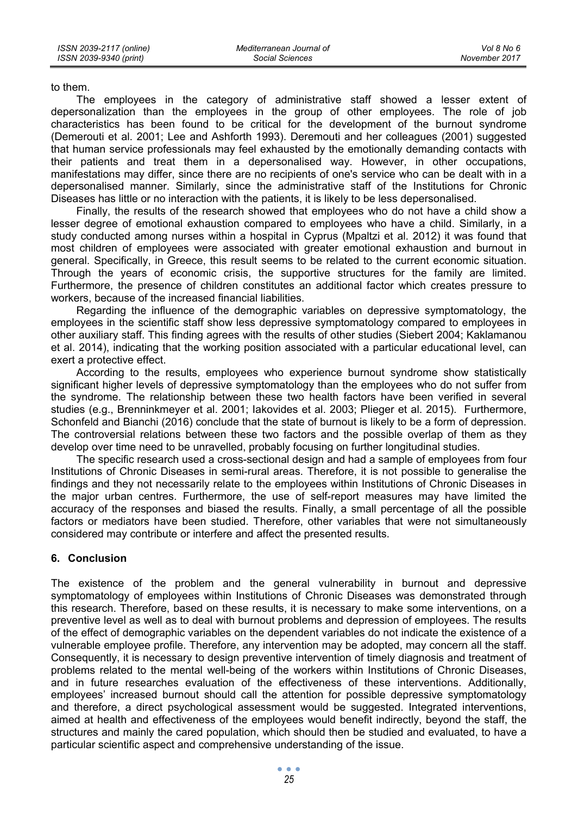*Vol 8 No 6 November 2017*

to them.

The employees in the category of administrative staff showed a lesser extent of depersonalization than the employees in the group of other employees. The role of job characteristics has been found to be critical for the development of the burnout syndrome (Demerouti et al. 2001; Lee and Ashforth 1993). Deremouti and her colleagues (2001) suggested that human service professionals may feel exhausted by the emotionally demanding contacts with their patients and treat them in a depersonalised way. However, in other occupations, manifestations may differ, since there are no recipients of one's service who can be dealt with in a depersonalised manner. Similarly, since the administrative staff of the Institutions for Chronic Diseases has little or no interaction with the patients, it is likely to be less depersonalised.

Finally, the results of the research showed that employees who do not have a child show a lesser degree of emotional exhaustion compared to employees who have a child. Similarly, in a study conducted among nurses within a hospital in Cyprus (Mpaltzi et al. 2012) it was found that most children of employees were associated with greater emotional exhaustion and burnout in general. Specifically, in Greece, this result seems to be related to the current economic situation. Through the years of economic crisis, the supportive structures for the family are limited. Furthermore, the presence of children constitutes an additional factor which creates pressure to workers, because of the increased financial liabilities.

Regarding the influence of the demographic variables on depressive symptomatology, the employees in the scientific staff show less depressive symptomatology compared to employees in other auxiliary staff. This finding agrees with the results of other studies (Siebert 2004; Kaklamanou et al. 2014), indicating that the working position associated with a particular educational level, can exert a protective effect.

According to the results, employees who experience burnout syndrome show statistically significant higher levels of depressive symptomatology than the employees who do not suffer from the syndrome. The relationship between these two health factors have been verified in several studies (e.g., Brenninkmeyer et al. 2001; Iakovides et al. 2003; Plieger et al. 2015). Furthermore, Schonfeld and Bianchi (2016) conclude that the state of burnout is likely to be a form of depression. The controversial relations between these two factors and the possible overlap of them as they develop over time need to be unravelled, probably focusing on further longitudinal studies.

The specific research used a cross-sectional design and had a sample of employees from four Institutions of Chronic Diseases in semi-rural areas. Therefore, it is not possible to generalise the findings and they not necessarily relate to the employees within Institutions of Chronic Diseases in the major urban centres. Furthermore, the use of self-report measures may have limited the accuracy of the responses and biased the results. Finally, a small percentage of all the possible factors or mediators have been studied. Therefore, other variables that were not simultaneously considered may contribute or interfere and affect the presented results.

# **6. Conclusion**

The existence of the problem and the general vulnerability in burnout and depressive symptomatology of employees within Institutions of Chronic Diseases was demonstrated through this research. Therefore, based on these results, it is necessary to make some interventions, on a preventive level as well as to deal with burnout problems and depression of employees. The results of the effect of demographic variables on the dependent variables do not indicate the existence of a vulnerable employee profile. Therefore, any intervention may be adopted, may concern all the staff. Consequently, it is necessary to design preventive intervention of timely diagnosis and treatment of problems related to the mental well-being of the workers within Institutions of Chronic Diseases, and in future researches evaluation of the effectiveness of these interventions. Additionally, employees' increased burnout should call the attention for possible depressive symptomatology and therefore, a direct psychological assessment would be suggested. Integrated interventions, aimed at health and effectiveness of the employees would benefit indirectly, beyond the staff, the structures and mainly the cared population, which should then be studied and evaluated, to have a particular scientific aspect and comprehensive understanding of the issue.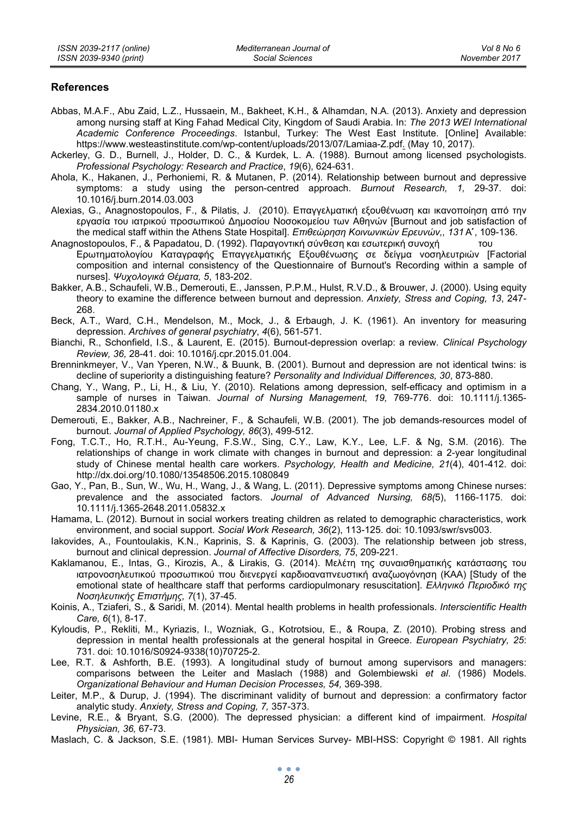#### **References**

- Abbas, M.A.F., Abu Zaid, L.Z., Hussaein, M., Bakheet, K.H., & Alhamdan, N.A. (2013). Anxiety and depression among nursing staff at King Fahad Medical City, Kingdom of Saudi Arabia. In: *The 2013 WEI International Academic Conference Proceedings*. Istanbul, Turkey: The West East Institute. [Online] Available: https://www.westeastinstitute.com/wp-content/uploads/2013/07/Lamiaa-Z.pdf. (May 10, 2017).
- Ackerley, G. D., Burnell, J., Holder, D. C., & Kurdek, L. A. (1988). Burnout among licensed psychologists. *Professional Psychology: Research and Practice*, *19*(6), 624-631.
- Ahola, K., Hakanen, J., Perhoniemi, R. & Mutanen, P. (2014). Relationship between burnout and depressive symptoms: a study using the person-centred approach. *Burnout Research, 1,* 29-37. doi: 10.1016/j.burn.2014.03.003
- Alexias, G., Anagnostopoulos, F., & Pilatis, J. (2010). Επαγγελματική εξουθένωση και ικανοποίηση από την εργασία του ιατρικού προσωπικού ∆ημοσίου Νοσοκομείου των Αθηνών [Burnout and job satisfaction of the medical staff within the Athens State Hospital]. *Επιθεώρηση Κοινωνικών Ερευνών,, 131* Ά , 109-136.
- Anagnostopoulos, F., & Papadatou, D. (1992). Παραγοντική σύνθεση και εσωτερική συνοχή Ερωτηματολογίου Καταγραφής Επαγγελματικής Εξουθένωσης σε δείγμα νοσηλευτριών [Factorial composition and internal consistency of the Questionnaire of Burnout's Recording within a sample of nurses]. *Ψυχολογικά Θέματα, 5*, 183-202.
- Bakker, A.B., Schaufeli, W.B., Demerouti, E., Janssen, P.P.M., Hulst, R.V.D., & Brouwer, J. (2000). Using equity theory to examine the difference between burnout and depression. *Anxiety, Stress and Coping, 13*, 247- 268.
- Beck, A.T., Ward, C.H., Mendelson, M., Mock, J., & Erbaugh, J. K. (1961). An inventory for measuring depression. *Archives of general psychiatry*, *4*(6), 561-571.
- Bianchi, R., Schonfield, I.S., & Laurent, E. (2015). Burnout-depression overlap: a review. *Clinical Psychology Review, 36,* 28-41. doi: 10.1016/j.cpr.2015.01.004.
- Brenninkmeyer, V., Van Yperen, N.W., & Buunk, B. (2001). Burnout and depression are not identical twins: is decline of superiority a distinguishing feature? *Personality and Individual Differences, 30*, 873-880.
- Chang, Y., Wang, P., Li, H., & Liu, Y. (2010). Relations among depression, self-efficacy and optimism in a sample of nurses in Taiwan. *Journal of Nursing Management, 19,* 769-776. doi: 10.1111/j.1365- 2834.2010.01180.x
- Demerouti, E., Bakker, A.B., Nachreiner, F., & Schaufeli, W.B. (2001). The job demands-resources model of burnout. *Journal of Applied Psychology, 86*(3), 499-512.
- Fong, T.C.T., Ho, R.T.H., Au-Yeung, F.S.W., Sing, C.Y., Law, K.Y., Lee, L.F. & Ng, S.M. (2016). The relationships of change in work climate with changes in burnout and depression: a 2-year longitudinal study of Chinese mental health care workers. *Psychology, Health and Medicine, 21*(4), 401-412. doi: http://dx.doi.org/10.1080/13548506.2015.1080849
- Gao, Y., Pan, B., Sun, W., Wu, H., Wang, J., & Wang, L. (2011). Depressive symptoms among Chinese nurses: prevalence and the associated factors. *Journal of Advanced Nursing, 68(*5), 1166-1175. doi: 10.1111/j.1365-2648.2011.05832.x
- Hamama, L. (2012). Burnout in social workers treating children as related to demographic characteristics, work environment, and social support. *Social Work Research, 36*(2), 113-125. doi: 10.1093/swr/svs003.
- Iakovides, A., Fountoulakis, K.N., Kaprinis, S. & Kaprinis, G. (2003). The relationship between job stress, burnout and clinical depression. *Journal of Affective Disorders, 75*, 209-221.
- Kaklamanou, E., Intas, G., Kirozis, A., & Lirakis, G. (2014). Μελέτη της συναισθηματικής κατάστασης του ιατρονοσηλευτικού προσωπικού που διενεργεί καρδιοαναπνευστική αναζωογόνηση (ΚΑΑ) [Study of the emotional state of healthcare staff that performs cardiopulmonary resuscitation]. *Ελληνικό Περιοδικό της Νοσηλευτικής Επιστήμης, 7*(1), 37-45.
- Koinis, Α., Tziaferi, S., & Saridi, M. (2014). Mental health problems in health professionals. *Interscientific Health Care, 6*(1), 8-17.
- Kyloudis, P., Rekliti, M., Kyriazis, I., Wozniak, G., Kotrotsiou, E., & Roupa, Z. (2010). Probing stress and depression in mental health professionals at the general hospital in Greece. *European Psychiatry, 25*: 731. doi: 10.1016/S0924-9338(10)70725-2.
- Lee, R.T. & Ashforth, B.E. (1993). A longitudinal study of burnout among supervisors and managers: comparisons between the Leiter and Maslach (1988) and Golembiewski *et al*. (1986) Models. *Organizational Behaviour and Human Decision Processes, 54,* 369-398.
- Leiter, M.P., & Durup, J. (1994). The discriminant validity of burnout and depression: a confirmatory factor analytic study. *Anxiety, Stress and Coping, 7,* 357-373.
- Levine, R.E., & Bryant, S.G. (2000). The depressed physician: a different kind of impairment. *Hospital Physician, 36,* 67-73.
- Maslach, C. & Jackson, S.E. (1981). MBI- Human Services Survey- MBI-HSS: Copyright © 1981. All rights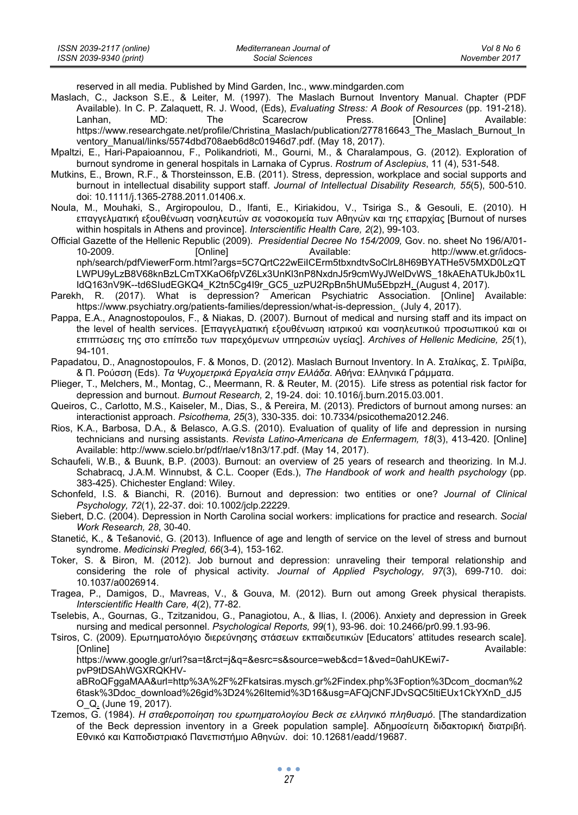| ISSN 2039-2117 (online) | Mediterranean Journal of | Vol 8 No 6    |
|-------------------------|--------------------------|---------------|
| ISSN 2039-9340 (print)  | Social Sciences          | November 2017 |

reserved in all media. Published by Mind Garden, Inc., www.mindgarden.com

- Maslach, C., Jackson S.E., & Leiter, M. (1997). The Maslach Burnout Inventory Manual. Chapter (PDF Available). In C. P. Zalaquett, R. J. Wood, (Eds), *Evaluating Stress: A Book of Resources* (pp. 191-218). Lanhan, MD: The Scarecrow Press. [Online] Available: https://www.researchgate.net/profile/Christina\_Maslach/publication/277816643\_The\_Maslach\_Burnout\_In ventory\_Manual/links/5574dbd708aeb6d8c01946d7.pdf. (May 18, 2017).
- Mpaltzi, E., Hari-Papaioannou, F., Polikandrioti, M., Gourni, M., & Charalampous, G. (2012). Exploration of burnout syndrome in general hospitals in Larnaka of Cyprus. *Rostrum of Asclepius*, 11 (4), 531-548.
- Mutkins, E., Brown, R.F., & Thorsteinsson, E.B. (2011). Stress, depression, workplace and social supports and burnout in intellectual disability support staff. *Journal of Intellectual Disability Research, 55*(5), 500-510. doi: 10.1111/j.1365-2788.2011.01406.x.
- Noula, M., Mouhaki, S., Argiropoulou, D., Ifanti, E., Kiriakidou, V., Tsiriga S., & Gesouli, E. (2010). Η επαγγελματική εξουθένωση νοσηλευτών σε νοσοκομεία των Αθηνών και της επαρχίας [Burnout of nurses within hospitals in Athens and province]. *Interscientific Health Care, 2*(2), 99-103.
- Official Gazette of the Hellenic Republic (2009). *Presidential Decree No 154/2009,* Gov. no. sheet No 196/Á/01- 10-2009. [Online] Available: http://www.et.gr/idocsnph/search/pdfViewerForm.html?args=5C7QrtC22wEiICErm5tbxndtvSoClrL8H69BYATHe5V5MXD0LzQT LWPU9yLzB8V68knBzLCmTXKaO6fpVZ6Lx3UnKl3nP8NxdnJ5r9cmWyJWelDvWS\_18kAEhATUkJb0x1L IdQ163nV9K--td6SIudEGKQ4\_K2tn5Cg4I9r\_GC5\_uzPU2RpBn5hUMu5EbpzH. (August 4, 2017).
- Parekh, R. (2017). What is depression? American Psychiatric Association. [Online] Available: https://www.psychiatry.org/patients-families/depression/what-is-depression. (July 4, 2017).
- Pappa, E.A., Anagnostopoulos, F., & Niakas, D. (2007). Burnout of medical and nursing staff and its impact on the level of health services. [Επαγγελματική εξουθένωση ιατρικού και νοσηλευτικού προσωπικού και οι επιπτώσεις της στο επίπεδο των παρεχόμενων υπηρεσιών υγείας]. *Archives of Hellenic Medicine, 25*(1), 94-101.
- Papadatou, D., Anagnostopoulos, F. & Monos, D. (2012). Maslach Burnout Inventory. In Α. Σταλίκας, Σ. Τριλίβα, & Π. Ρούσση (Eds). *Τα Ψυχομετρικά Εργαλεία στην Ελλάδα*. Αθήνα: Ελληνικά Γράμματα.
- Plieger, T., Melchers, M., Montag, C., Meermann, R. & Reuter, M. (2015). Life stress as potential risk factor for depression and burnout. *Burnout Research,* 2, 19-24. doi: 10.1016/j.burn.2015.03.001.
- Queiros, C., Carlotto, M.S., Kaiseler, M., Dias, S., & Pereira, M. (2013). Predictors of burnout among nurses: an interactionist approach. *Psicothema, 25*(3), 330-335. doi: 10.7334/psicothema2012.246.
- Rios, K.A., Barbosa, D.A., & Belasco, A.G.S. (2010). Evaluation of quality of life and depression in nursing technicians and nursing assistants. *Revista Latino-Americana de Enfermagem, 18*(3), 413-420. [Online] Available: http://www.scielo.br/pdf/rlae/v18n3/17.pdf. (May 14, 2017).
- Schaufeli, W.B., & Buunk, B.P. (2003). Burnout: an overview of 25 years of research and theorizing. In M.J. Schabracq, J.A.M. Winnubst, & C.L. Cooper (Eds.), *The Handbook of work and health psychology* (pp. 383-425). Chichester England: Wiley.
- Schonfeld, I.S. & Bianchi, R. (2016). Burnout and depression: two entities or one? *Journal of Clinical Psychology, 72*(1), 22-37. doi: 10.1002/jclp.22229.
- Siebert, D.C. (2004). Depression in North Carolina social workers: implications for practice and research. *Social Work Research, 28*, 30-40.
- Stanetić, K., & Teŝanović, G. (2013). Influence of age and length of service on the level of stress and burnout syndrome. *Medicinski Pregled, 66*(3-4), 153-162.
- Toker, S. & Biron, M. (2012). Job burnout and depression: unraveling their temporal relationship and considering the role of physical activity. *Journal of Applied Psychology, 97*(3), 699-710. doi: 10.1037/a0026914.
- Tragea, P., Damigos, D., Mavreas, V., & Gouva, M. (2012). Burn out among Greek physical therapists*. Interscientific Health Care, 4*(2), 77-82.
- Tselebis, A., Gournas, G., Tzitzanidou, G., Panagiotou, A., & Ilias, I. (2006). Anxiety and depression in Greek nursing and medical personnel. *Psychological Reports, 99*(1), 93-96. doi: 10.2466/pr0.99.1.93-96.
- Tsiros, C. (2009). Ερωτηματολόγιο διερεύνησης στάσεων εκπαιδευτικών [Educators' attitudes research scale]. [Online] Available:

https://www.google.gr/url?sa=t&rct=j&q=&esrc=s&source=web&cd=1&ved=0ahUKEwi7 pvP9tDSAhWGXRQKHV-

aBRoQFggaMAA&url=http%3A%2F%2Fkatsiras.mysch.gr%2Findex.php%3Foption%3Dcom\_docman%2 6task%3Ddoc\_download%26gid%3D24%26Itemid%3D16&usg=AFQjCNFJDvSQC5ltiEUx1CkYXnD\_dJ5 O\_Q. (June 19, 2017).

Tzemos, G. (1984). *Η σταθεροποίηση του ερωτηματολογίου Beck σε ελληνικό πληθυσμό*. [The standardization of the Beck depression inventory in a Greek population sample]. Αδημοσίευτη διδακτορική διατριβή. Εθνικό και Καποδιστριακό Πανεπιστήμιο Αθηνών. doi: 10.12681/eadd/19687.